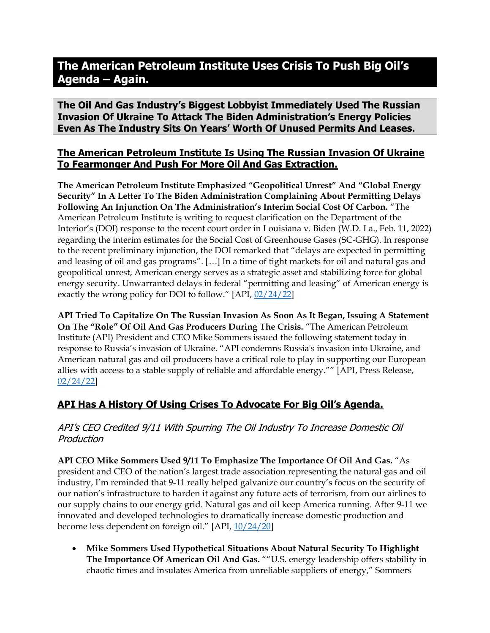# **The American Petroleum Institute Uses Crisis To Push Big Oil's Agenda – Again.**

**The Oil And Gas Industry's Biggest Lobbyist Immediately Used The Russian Invasion Of Ukraine To Attack The Biden Administration's Energy Policies Even As The Industry Sits On Years' Worth Of Unused Permits And Leases.** 

## **The American Petroleum Institute Is Using The Russian Invasion Of Ukraine To Fearmonger And Push For More Oil And Gas Extraction.**

**The American Petroleum Institute Emphasized "Geopolitical Unrest" And "Global Energy Security" In A Letter To The Biden Administration Complaining About Permitting Delays Following An Injunction On The Administration's Interim Social Cost Of Carbon.** "The American Petroleum Institute is writing to request clarification on the Department of the Interior's (DOI) response to the recent court order in Louisiana v. Biden (W.D. La., Feb. 11, 2022) regarding the interim estimates for the Social Cost of Greenhouse Gases (SC-GHG). In response to the recent preliminary injunction, the DOI remarked that "delays are expected in permitting and leasing of oil and gas programs". […] In a time of tight markets for oil and natural gas and geopolitical unrest, American energy serves as a strategic asset and stabilizing force for global energy security. Unwarranted delays in federal "permitting and leasing" of American energy is exactly the wrong policy for DOI to follow." [API, [02/24/22\]](https://www.api.org/~/media/Files/Email/Misc/02-25-22/MJS-Honorable-Deb-Haaland-2-24-2022)

**API Tried To Capitalize On The Russian Invasion As Soon As It Began, Issuing A Statement On The "Role" Of Oil And Gas Producers During The Crisis.** "The American Petroleum Institute (API) President and CEO Mike Sommers issued the following statement today in response to Russia's invasion of Ukraine. "API condemns Russia's invasion into Ukraine, and American natural gas and oil producers have a critical role to play in supporting our European allies with access to a stable supply of reliable and affordable energy."" [API, Press Release, [02/24/22\]](https://www.api.org/news-policy-and-issues/news/2022/02/24/api-statement-on-russian-invasion-of-ukraine)

# **API Has A History Of Using Crises To Advocate For Big Oil's Agenda.**

API's CEO Credited 9/11 With Spurring The Oil Industry To Increase Domestic Oil Production

**API CEO Mike Sommers Used 9/11 To Emphasize The Importance Of Oil And Gas.** "As president and CEO of the nation's largest trade association representing the natural gas and oil industry, I'm reminded that 9-11 really helped galvanize our country's focus on the security of our nation's infrastructure to harden it against any future acts of terrorism, from our airlines to our supply chains to our energy grid. Natural gas and oil keep America running. After 9-11 we innovated and developed technologies to dramatically increase domestic production and become less dependent on foreign oil." [API, [10/24/20\]](https://www.api.org/news-policy-and-issues/blog/2020/11/24/api-standard-earns-dhs-certification-under-911-antiterrorism-act)

• **Mike Sommers Used Hypothetical Situations About Natural Security To Highlight The Importance Of American Oil And Gas.** ""U.S. energy leadership offers stability in chaotic times and insulates America from unreliable suppliers of energy," Sommers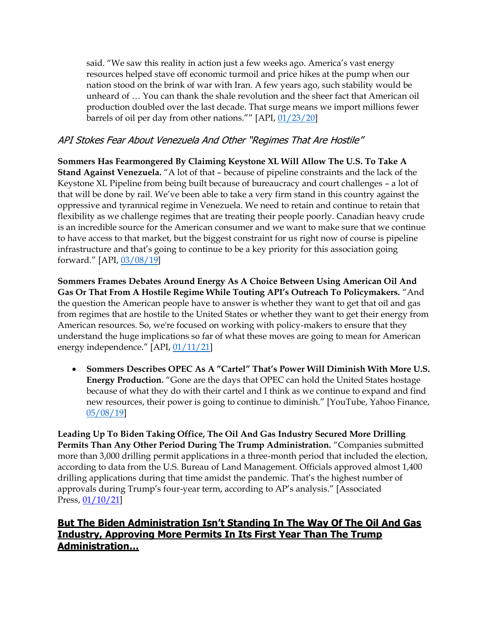said. "We saw this reality in action just a few weeks ago. America's vast energy resources helped stave off economic turmoil and price hikes at the pump when our nation stood on the brink of war with Iran. A few years ago, such stability would be unheard of … You can thank the shale revolution and the sheer fact that American oil production doubled over the last decade. That surge means we import millions fewer barrels of oil per day from other nations."" [API, [01/23/20\]](https://www.api.org/news-policy-and-issues/news/2020/01/23/api-underscores-importance-of-american-energy-leadership-at-usea-forum)

## API Stokes Fear About Venezuela And Other "Regimes That Are Hostile"

**Sommers Has Fearmongered By Claiming Keystone XL Will Allow The U.S. To Take A Stand Against Venezuela.** "A lot of that – because of pipeline constraints and the lack of the Keystone XL Pipeline from being built because of bureaucracy and court challenges – a lot of that will be done by rail. We've been able to take a very firm stand in this country against the oppressive and tyrannical regime in Venezuela. We need to retain and continue to retain that flexibility as we challenge regimes that are treating their people poorly. Canadian heavy crude is an incredible source for the American consumer and we want to make sure that we continue to have access to that market, but the biggest constraint for us right now of course is pipeline infrastructure and that's going to continue to be a key priority for this association going forward." [API, [03/08/19\]](https://www.api.org/news-policy-and-issues/news/2019/03/08/api-president-and-ceo-mike-sommers-featured-on-spglobalplatts-capitol-crude-podc)

**Sommers Frames Debates Around Energy As A Choice Between Using American Oil And Gas Or That From A Hostile Regime While Touting API's Outreach To Policymakers.** "And the question the American people have to answer is whether they want to get that oil and gas from regimes that are hostile to the United States or whether they want to get their energy from American resources. So, we're focused on working with policy-makers to ensure that they understand the huge implications so far of what these moves are going to mean for American energy independence." [API, [01/11/21\]](https://www.api.org/news-policy-and-issues/news/2021/01/20/biden-inauguration)

• **Sommers Describes OPEC As A "Cartel" That's Power Will Diminish With More U.S. Energy Production.** "Gone are the days that OPEC can hold the United States hostage because of what they do with their cartel and I think as we continue to expand and find new resources, their power is going to continue to diminish." [YouTube, Yahoo Finance, [05/08/19\]](https://www.youtube.com/watch?v=uoYn1x-VmD4)

**Leading Up To Biden Taking Office, The Oil And Gas Industry Secured More Drilling Permits Than Any Other Period During The Trump Administration.** "Companies submitted more than 3,000 drilling permit applications in a three-month period that included the election, according to data from the U.S. Bureau of Land Management. Officials approved almost 1,400 drilling applications during that time amidst the pandemic. That's the highest number of approvals during Trump's four-year term, according to AP's analysis." [Associated Press, [01/10/21\]](https://apnews.com/article/joe-biden-donald-trump-climate-wyoming-coronavirus-pandemic-a917f51126fa2641e0713573424b2b11)

## **But The Biden Administration Isn't Standing In The Way Of The Oil And Gas Industry, Approving More Permits In Its First Year Than The Trump Administration…**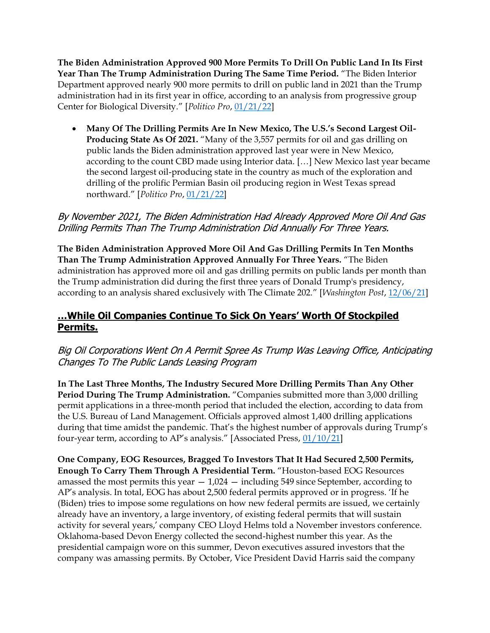**The Biden Administration Approved 900 More Permits To Drill On Public Land In Its First Year Than The Trump Administration During The Same Time Period.** "The Biden Interior Department approved nearly 900 more permits to drill on public land in 2021 than the Trump administration had in its first year in office, according to an analysis from progressive group Center for Biological Diversity." [*Politico Pro*[, 01/21/22\]](https://subscriber.politicopro.com/article/2022/01/biden-interior-surpasses-trump-in-drilling-permits-issued-in-first-year-3993377)

• **Many Of The Drilling Permits Are In New Mexico, The U.S.'s Second Largest Oil-Producing State As Of 2021.** "Many of the 3,557 permits for oil and gas drilling on public lands the Biden administration approved last year were in New Mexico, according to the count CBD made using Interior data. […] New Mexico last year became the second largest oil-producing state in the country as much of the exploration and drilling of the prolific Permian Basin oil producing region in West Texas spread northward." [*Politico Pro*, [01/21/22\]](https://subscriber.politicopro.com/article/2022/01/biden-interior-surpasses-trump-in-drilling-permits-issued-in-first-year-3993377)

### By November 2021, The Biden Administration Had Already Approved More Oil And Gas Drilling Permits Than The Trump Administration Did Annually For Three Years.

**The Biden Administration Approved More Oil And Gas Drilling Permits In Ten Months Than The Trump Administration Approved Annually For Three Years.** "The Biden administration has approved more oil and gas drilling permits on public lands per month than the Trump administration did during the first three years of Donald Trump's presidency, according to an analysis shared exclusively with The Climate 202." [*Washington Post*, [12/06/21\]](https://www.washingtonpost.com/politics/2021/12/06/biden-is-approving-more-oil-gas-drilling-permits-public-lands-than-trump-analysis-finds/)

# **…While Oil Companies Continue To Sick On Years' Worth Of Stockpiled Permits.**

## Big Oil Corporations Went On A Permit Spree As Trump Was Leaving Office, Anticipating Changes To The Public Lands Leasing Program

**In The Last Three Months, The Industry Secured More Drilling Permits Than Any Other Period During The Trump Administration.** "Companies submitted more than 3,000 drilling permit applications in a three-month period that included the election, according to data from the U.S. Bureau of Land Management. Officials approved almost 1,400 drilling applications during that time amidst the pandemic. That's the highest number of approvals during Trump's four-year term, according to AP's analysis." [Associated Press, [01/10/21\]](https://apnews.com/article/joe-biden-donald-trump-climate-wyoming-coronavirus-pandemic-a917f51126fa2641e0713573424b2b11)

**One Company, EOG Resources, Bragged To Investors That It Had Secured 2,500 Permits, Enough To Carry Them Through A Presidential Term.** "Houston-based EOG Resources amassed the most permits this year  $-1.024$  – including 549 since September, according to AP's analysis. In total, EOG has about 2,500 federal permits approved or in progress. 'If he (Biden) tries to impose some regulations on how new federal permits are issued, we certainly already have an inventory, a large inventory, of existing federal permits that will sustain activity for several years,' company CEO Lloyd Helms told a November investors conference. Oklahoma-based Devon Energy collected the second-highest number this year. As the presidential campaign wore on this summer, Devon executives assured investors that the company was amassing permits. By October, Vice President David Harris said the company